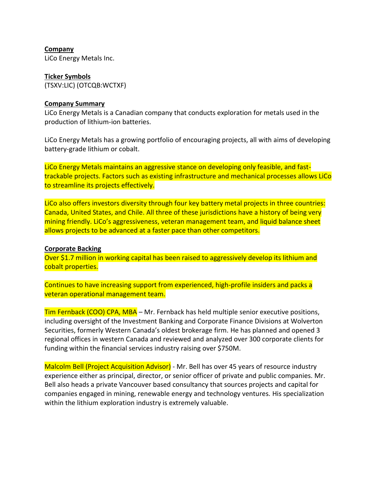**Company** LiCo Energy Metals Inc.

**Ticker Symbols** (TSXV:LIC) (OTCQB:WCTXF)

#### **Company Summary**

LiCo Energy Metals is a Canadian company that conducts exploration for metals used in the production of lithium-ion batteries.

LiCo Energy Metals has a growing portfolio of encouraging projects, all with aims of developing battery-grade lithium or cobalt.

LiCo Energy Metals maintains an aggressive stance on developing only feasible, and fasttrackable projects. Factors such as existing infrastructure and mechanical processes allows LiCo to streamline its projects effectively.

LiCo also offers investors diversity through four key battery metal projects in three countries: Canada, United States, and Chile. All three of these jurisdictions have a history of being very mining friendly. LiCo's aggressiveness, veteran management team, and liquid balance sheet allows projects to be advanced at a faster pace than other competitors.

### **Corporate Backing**

Over \$1.7 million in working capital has been raised to aggressively develop its lithium and cobalt properties.

Continues to have increasing support from experienced, high-profile insiders and packs a veteran operational management team.

Tim Fernback (COO) CPA, MBA - Mr. Fernback has held multiple senior executive positions, including oversight of the Investment Banking and Corporate Finance Divisions at Wolverton Securities, formerly Western Canada's oldest brokerage firm. He has planned and opened 3 regional offices in western Canada and reviewed and analyzed over 300 corporate clients for funding within the financial services industry raising over \$750M.

Malcolm Bell (Project Acquisition Advisor) - Mr. Bell has over 45 years of resource industry experience either as principal, director, or senior officer of private and public companies. Mr. Bell also heads a private Vancouver based consultancy that sources projects and capital for companies engaged in mining, renewable energy and technology ventures. His specialization within the lithium exploration industry is extremely valuable.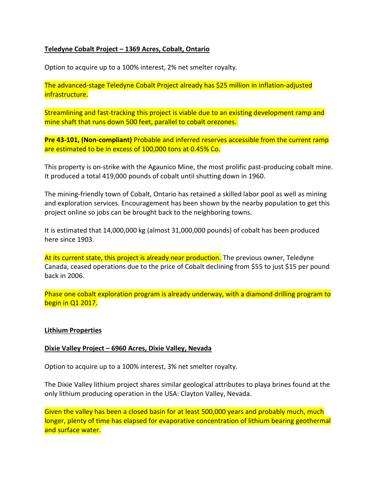# **Teledyne Cobalt Project – 1369 Acres, Cobalt, Ontario**

Option to acquire up to a 100% interest, 2% net smelter royalty.

The advanced-stage Teledyne Cobalt Project already has \$25 million in inflation-adjusted infrastructure.

Streamlining and fast-tracking this project is viable due to an existing development ramp and mine shaft that runs down 500 feet, parallel to cobalt orezones.

**Pre 43-101, (Non-compliant)** Probable and inferred reserves accessible from the current ramp are estimated to be in excess of 100,000 tons at 0.45% Co.

This property is on-strike with the Agaunico Mine, the most prolific past-producing cobalt mine. It produced a total 419,000 pounds of cobalt until shutting down in 1960.

The mining-friendly town of Cobalt, Ontario has retained a skilled labor pool as well as mining and exploration services. Encouragement has been shown by the nearby population to get this project online so jobs can be brought back to the neighboring towns.

It is estimated that 14,000,000 kg (almost 31,000,000 pounds) of cobalt has been produced here since 1903.

At its current state, this project is already near production. The previous owner, Teledyne Canada, ceased operations due to the price of Cobalt declining from \$55 to just \$15 per pound back in 2006.

Phase one cobalt exploration program is already underway, with a diamond drilling program to begin in Q1 2017.

# **Lithium Properties**

# **Dixie Valley Project – 6960 Acres, Dixie Valley, Nevada**

Option to acquire up to a 100% interest, 3% net smelter royalty.

The Dixie Valley lithium project shares similar geological attributes to playa brines found at the only lithium producing operation in the USA: Clayton Valley, Nevada.

Given the valley has been a closed basin for at least 500,000 years and probably much, much longer, plenty of time has elapsed for evaporative concentration of lithium bearing geothermal and surface water.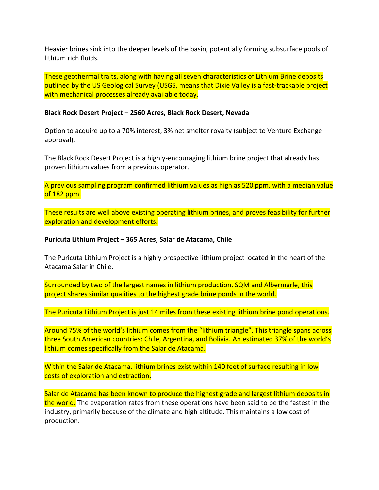Heavier brines sink into the deeper levels of the basin, potentially forming subsurface pools of lithium rich fluids.

These geothermal traits, along with having all seven characteristics of Lithium Brine deposits outlined by the US Geological Survey (USGS, means that Dixie Valley is a fast-trackable project with mechanical processes already available today.

#### **Black Rock Desert Project – 2560 Acres, Black Rock Desert, Nevada**

Option to acquire up to a 70% interest, 3% net smelter royalty (subject to Venture Exchange approval).

The Black Rock Desert Project is a highly-encouraging lithium brine project that already has proven lithium values from a previous operator.

A previous sampling program confirmed lithium values as high as 520 ppm, with a median value of 182 ppm.

These results are well above existing operating lithium brines, and proves feasibility for further exploration and development efforts.

#### **Puricuta Lithium Project – 365 Acres, Salar de Atacama, Chile**

The Puricuta Lithium Project is a highly prospective lithium project located in the heart of the Atacama Salar in Chile.

Surrounded by two of the largest names in lithium production, SQM and Albermarle, this project shares similar qualities to the highest grade brine ponds in the world.

The Puricuta Lithium Project is just 14 miles from these existing lithium brine pond operations.

Around 75% of the world's lithium comes from the "lithium triangle". This triangle spans across three South American countries: Chile, Argentina, and Bolivia. An estimated 37% of the world's lithium comes specifically from the Salar de Atacama.

Within the Salar de Atacama, lithium brines exist within 140 feet of surface resulting in low costs of exploration and extraction.

Salar de Atacama has been known to produce the highest grade and largest lithium deposits in the world. The evaporation rates from these operations have been said to be the fastest in the industry, primarily because of the climate and high altitude. This maintains a low cost of production.